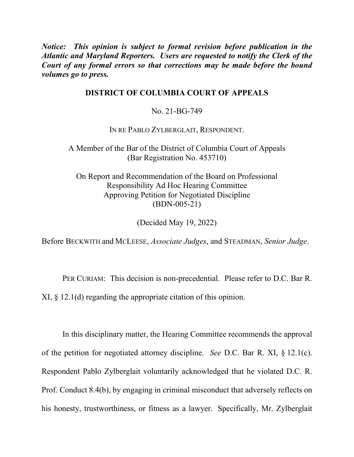*Notice: This opinion is subject to formal revision before publication in the Atlantic and Maryland Reporters. Users are requested to notify the Clerk of the Court of any formal errors so that corrections may be made before the bound volumes go to press.* 

## **DISTRICT OF COLUMBIA COURT OF APPEALS**

No. 21-BG-749

IN RE PABLO ZYLBERGLAIT, RESPONDENT.

A Member of the Bar of the District of Columbia Court of Appeals (Bar Registration No. 453710)

On Report and Recommendation of the Board on Professional Responsibility Ad Hoc Hearing Committee Approving Petition for Negotiated Discipline (BDN-005-21)

(Decided May 19, 2022)

Before BECKWITH and MCLEESE, *Associate Judges*, and STEADMAN, *Senior Judge*.

PER CURIAM: This decision is non-precedential. Please refer to D.C. Bar R. XI, § 12.1(d) regarding the appropriate citation of this opinion.

In this disciplinary matter, the Hearing Committee recommends the approval of the petition for negotiated attorney discipline. *See* D.C. Bar R. XI, § 12.1(c). Respondent Pablo Zylberglait voluntarily acknowledged that he violated D.C. R. Prof. Conduct 8.4(b), by engaging in criminal misconduct that adversely reflects on his honesty, trustworthiness, or fitness as a lawyer. Specifically, Mr. Zylberglait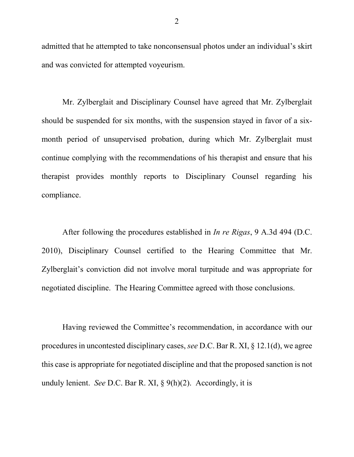admitted that he attempted to take nonconsensual photos under an individual's skirt and was convicted for attempted voyeurism.

Mr. Zylberglait and Disciplinary Counsel have agreed that Mr. Zylberglait should be suspended for six months, with the suspension stayed in favor of a sixmonth period of unsupervised probation, during which Mr. Zylberglait must continue complying with the recommendations of his therapist and ensure that his therapist provides monthly reports to Disciplinary Counsel regarding his compliance.

After following the procedures established in *In re Rigas*, 9 A.3d 494 (D.C. 2010), Disciplinary Counsel certified to the Hearing Committee that Mr. Zylberglait's conviction did not involve moral turpitude and was appropriate for negotiated discipline. The Hearing Committee agreed with those conclusions.

Having reviewed the Committee's recommendation, in accordance with our procedures in uncontested disciplinary cases, *see* D.C. Bar R. XI, § 12.1(d), we agree this case is appropriate for negotiated discipline and that the proposed sanction is not unduly lenient. *See* D.C. Bar R. XI, § 9(h)(2). Accordingly, it is